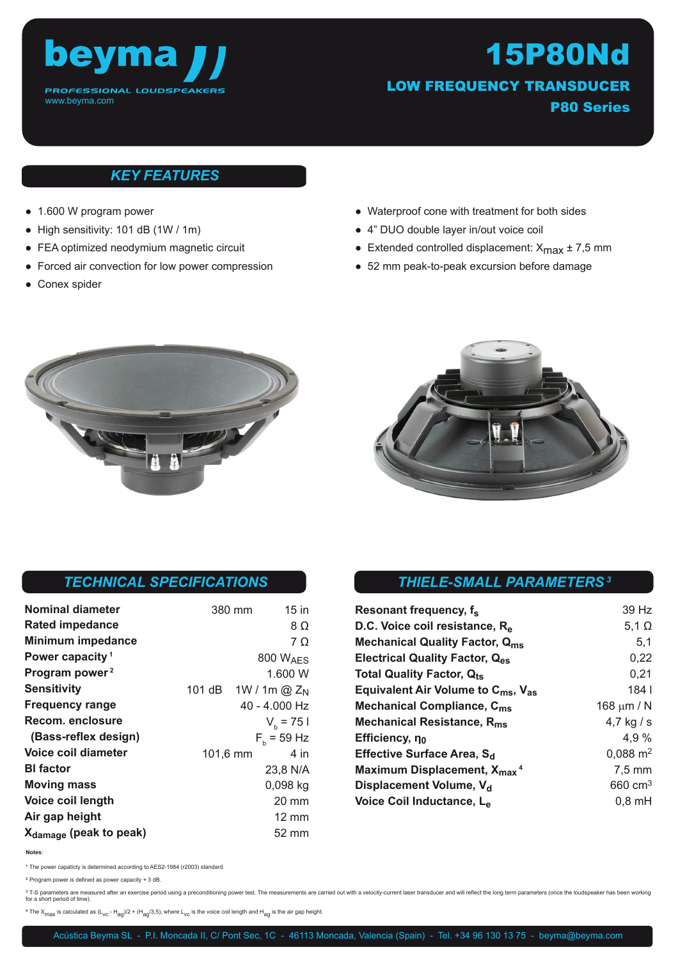

15P80Nd

LOW FREQUENCY TRANSDUCER P80 Series

# *KEY FEATURES*

- 1.600 W program power
- High sensitivity: 101 dB (1W / 1m)
- FEA optimized neodymium magnetic circuit
- Forced air convection for low power compression
- Conex spider
- Waterproof cone with treatment for both sides
- 4" DUO double layer in/out voice coil
- Extended controlled displacement:  $X_{\text{max}}$  ± 7,5 mm
- 52 mm peak-to-peak excursion before damage





### *TECHNICAL SPECIFICATIONS*

| Nominal diameter<br>Rated impedance | 380 mm                          | $15$ in<br>8 O       |
|-------------------------------------|---------------------------------|----------------------|
| <b>Minimum impedance</b>            |                                 | $7\Omega$            |
| Power capacity <sup>1</sup>         |                                 | 800 W <sub>AFS</sub> |
| Program power <sup>2</sup>          |                                 | 1.600 W              |
| <b>Sensitivity</b>                  | 101 dB 1W / 1m @ Z <sub>N</sub> |                      |
| <b>Frequency range</b>              |                                 | 40 - 4.000 Hz        |
| Recom. enclosure                    |                                 | $V_h$ = 75 l         |
| (Bass-reflex design)                |                                 | $F_{h}$ = 59 Hz      |
| Voice coil diameter                 | 101,6 mm                        | 4 in                 |
| <b>BI</b> factor                    |                                 | 23,8 N/A             |
| <b>Moving mass</b>                  |                                 | $0,098$ kg           |
| Voice coil length                   |                                 | $20 \text{ mm}$      |
| Air gap height                      |                                 | 12 mm                |
| X <sub>damage</sub> (peak to peak)  |                                 | 52 mm                |

# *THIELE-SMALL PARAMETERS<sup>3</sup>*

| Resonant frequency, f <sub>s</sub>                         | 39 Hz               |
|------------------------------------------------------------|---------------------|
| D.C. Voice coil resistance, R <sub>e</sub>                 | 5,1 $\Omega$        |
| <b>Mechanical Quality Factor, Qms</b>                      | 5.1                 |
| Electrical Quality Factor, Q <sub>es</sub>                 | 0,22                |
| <b>Total Quality Factor, Qts</b>                           | 0,21                |
| Equivalent Air Volume to $C_{\text{ms}}$ , $V_{\text{as}}$ | 184 I               |
| <b>Mechanical Compliance, C<sub>ms</sub></b>               | 168 $\mu$ m / N     |
| Mechanical Resistance, R <sub>ms</sub>                     | 4,7 kg / s          |
| Efficiency, no                                             | 4,9%                |
| Effective Surface Area, S <sub>d</sub>                     | $0,088 \text{ m}^2$ |
| Maximum Displacement, X <sub>max</sub> <sup>4</sup>        | $7,5 \text{ mm}$    |
| Displacement Volume, V <sub>d</sub>                        | 660 cm <sup>3</sup> |
| Voice Coil Inductance, L <sub>e</sub>                      | $0,8$ mH            |

**Notes**:

**<sup>1</sup>**The power capaticty is determined according to AES2-1984 (r2003) standard.

**<sup>2</sup>**Program power is defined as power capacity + 3 dB.

<sup>3</sup> T-S parameters are measured after an exercise period using a preconditioning power test. The measurements are carried out with a velocity-current laser transducer and will reflect the long term parameters (once the lou for a short period of time).

 $4$  The X<sub>max</sub> is calculated as  $(L_{\text{VC}} - H_{aq}/2 + (H_{aq}/3,5)$ , where  $L_{\text{VC}}$  is the voice coil length and H<sub>ag</sub> is the air gap height.